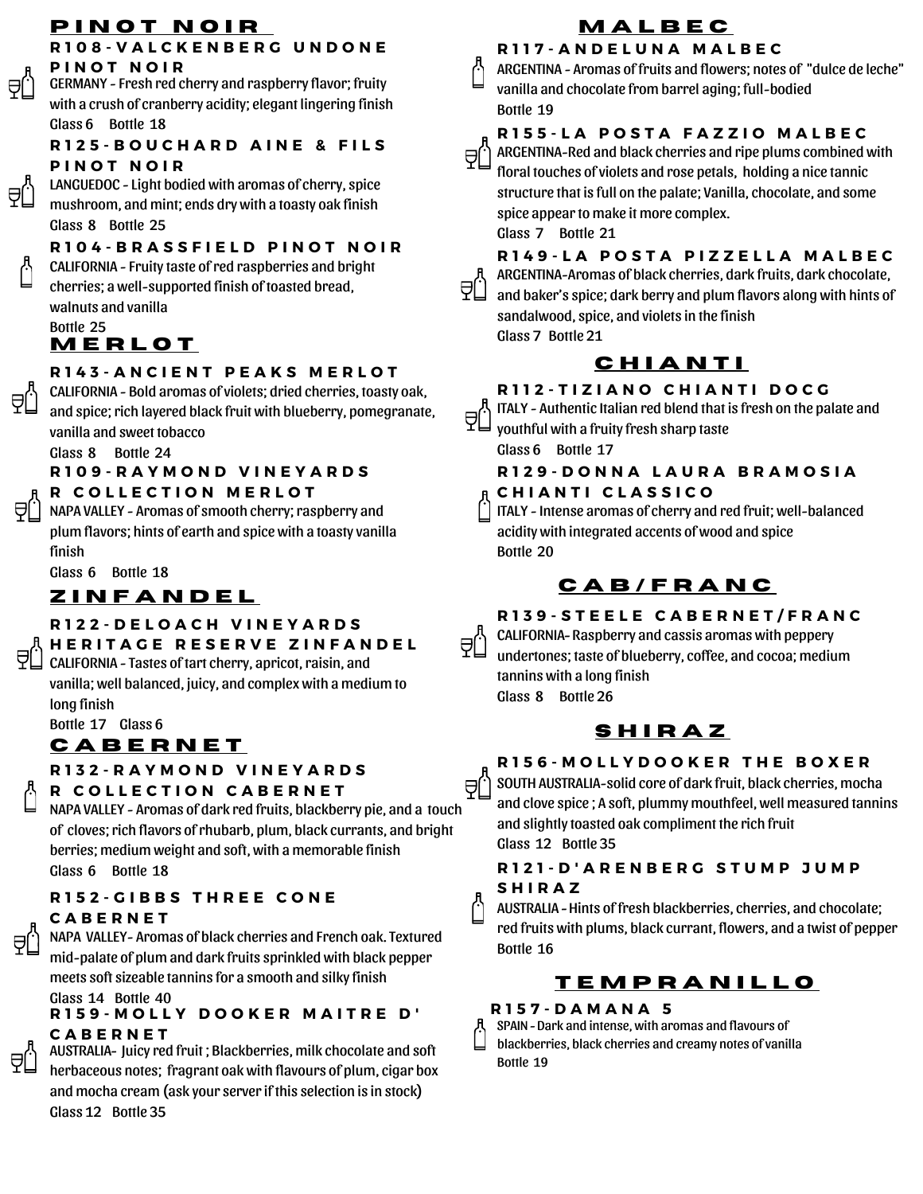# **P I N O T N O I R**

#### **R 1 0 8 - V A L C K E N B E R G U N D O N E P I N O T N O I R**

GERMANY - Fresh red cherry and raspberry flavor; fruity with a crush of cranberry acidity; elegant lingering finish Glass 6 Bottle 18

#### **R 1 2 5 - B O U C H A R D A I N E & F I L S P I N O T N O I R**

LANGUEDOC - Light bodied with aromas of cherry, spice mushroom, and mint; ends dry with a toasty oak finish Glass 8 Bottle 25

### **R 1 0 4 - B R A S S F I E L D P I N O T N O I R** CALIFORNIA - Fruity taste ofred raspberries and bright cherries; a well-supported finish of toasted bread,

walnuts and vanilla Bottle 25

₹Ĺ

₹Ĺ

# **M E R L O T**

## **R 1 4 3 - A N C I E N T P E A K S M E R L O T**

CALIFORNIA - Bold aromas of violets; dried cherries, toasty oak, and spice; rich layered black fruit with blueberry, pomegranate, vanilla and sweet tobacco

Glass 8 Bottle 24

### **R 1 0 9 - R A Y M O N D V I N E Y A R D S**

#### **R C O L L E C T I O N M E R L O T**

 $\Theta$   $\Box$  NAPA VALLEY - Aromas of smooth cherry; raspberry and plum flavors; hints of earth and spice with a toasty vanilla finish

Glass 6 Bottle 18

# **Z I N F A N D E L**

#### **R 1 2 2 - D E L O A C H V I N E Y A R D S**

# **H E R I T A G E R E S E R V E Z I N F A N D E L**

CALIFORNIA - Tastes of tart cherry, apricot, raisin, and vanilla; well balanced, juicy, and complex with a medium to long finish

Bottle 17 Glass 6

# **C A B E R N E T**

## **R 1 3 2 - R A Y M O N D V I N E Y A R D S**

**R C O L L E C T I O N C A B E R N E T**

ĀÇ NAPA VALLEY - Aromas of dark red fruits, blackberry pie, and a touch of cloves; rich flavors of rhubarb, plum, black currants, and bright berries; medium weight and soft, with a memorable finish Glass 6 Bottle 18

#### **R 1 5 2 - G I B B S T H R E E C O N E C A B E R N E T**

NAPA VALLEY- Aromas of black cherries and French oak. Textured mid-palate of plum and dark fruits sprinkled with black pepper meets soft sizeable tannins for a smooth and silky finish Glass 14 Bottle 40

## **R 1 5 9 - M O L L Y D O O K E R M A I T R E D ' C A B E R N E T**

AUSTRALIA*-* Juicy red fruit ; Blackberries, milk chocolate and soft herbaceous notes; fragrant oak with flavours of plum, cigar box and mocha cream (ask your serverif this selection is in stock) Glass 12 Bottle 35

# **M A L B E C**

**R 1 1 7 - A N D E L U N A M A L B E C** ARGENTINA - Aromas of fruits and flowers; notes of "dulce de leche" vanilla and chocolate from barrel aging; full-bodied

# **R 1 5 5 - L A P O S T A F A Z Z I O M A L B E C**

ARGENTINA-Red and black cherries and ripe plums combined with floral touches of violets and rose petals, holding a nice tannic structure that is full on the palate; Vanilla, chocolate, and some spice appear to make it more complex. Glass 7 Bottle 21

Bottle 19

R149-LA POSTA PIZZELLA MALBEC

ARGENTINA-Aromas of black cherries, dark fruits, dark chocolate, and baker's spice; dark berry and plum flavors along with hints of sandalwood, spice, and violets in the finish Glass 7 Bottle 21

# **C H I A N T I**

# **R 1 1 2 - T I Z I A N O C H I A N T I D O C G**

ITALY - Authentic Italian red blend that is fresh on the palate and youthful with a fruity fresh sharp taste

Glass 6 Bottle 17

# **R 1 2 9 - D O N N A L A U R A B R A M O S I A**

## **C H I A N T I C L A S S I C O**

ITALY - Intense aromas of cherry and red fruit; well-balanced acidity with integrated accents of wood and spice Bottle 20

# **C A B / F R A N C**

## **R 1 3 9 - S T E E L E C A B E R N E T / F R A N C**

QŮ CALIFORNIA*-* Raspberry and cassis aromas with peppery undertones; taste of blueberry, coffee, and cocoa; medium tannins with a long finish Glass 8 Bottle 26

# **S H I R A Z**

### **R 1 5 6 - M O L L Y D O O K E R T H E B O X E R**

SOUTH AUSTRALIA-solid core of dark fruit, black cherries, mocha and clove spice ; A soft, plummy mouthfeel, well measured tannins and slightly toasted oak compliment the rich fruit Glass 12 Bottle 35

### **R 1 2 1 - D ' A R E N B E R G S T U M P J U M P S H I R A Z**

AUSTRALIA *-* Hints of fresh blackberries, cherries, and chocolate; red fruits with plums, black currant, flowers, and a twist of pepper Bottle 16

# **T E M P R A N I L L O**

## **R 1 5 7 - D A M A N A 5**

SPAIN *-* Dark and intense, with aromas and flavours of blackberries, black cherries and creamy notes of vanilla Bottle 19



åŪ.

白.

ál.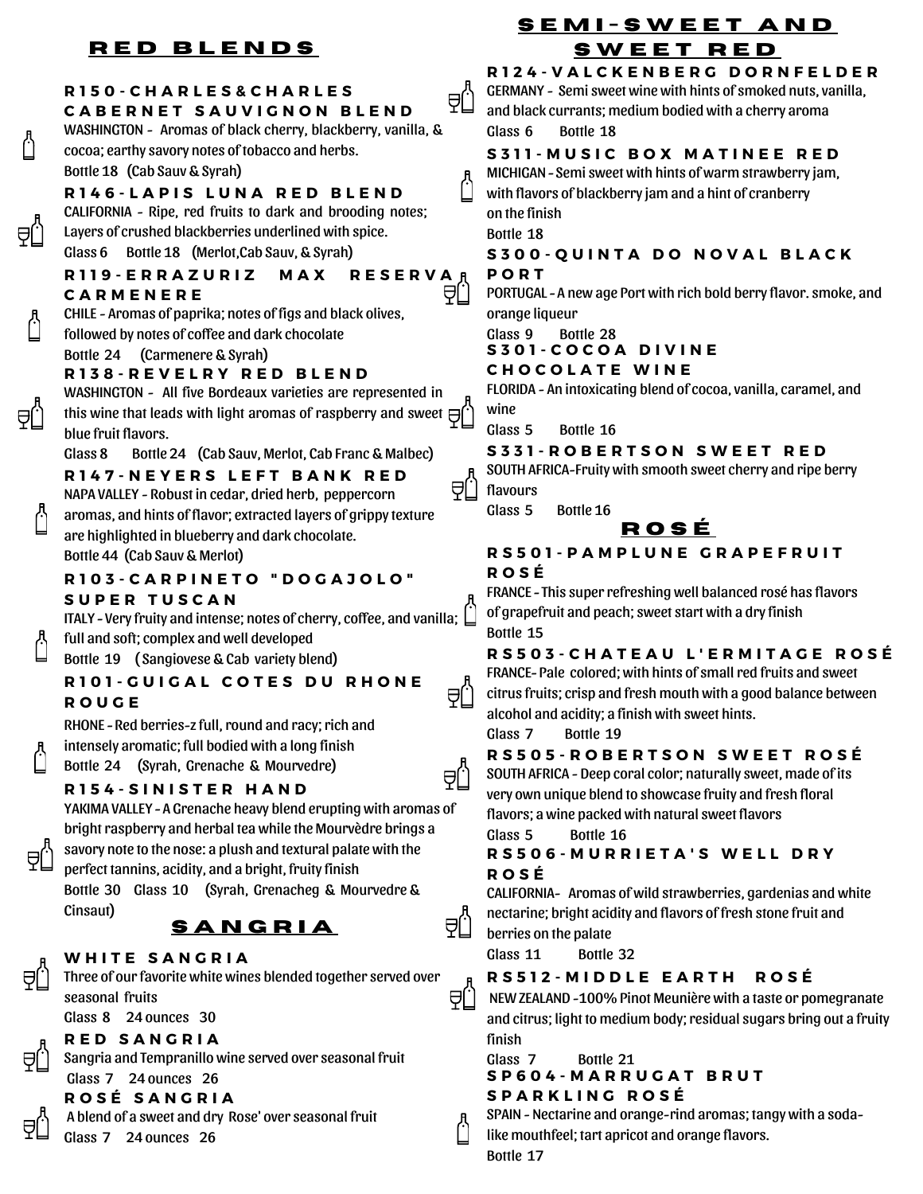# **R E D B L E N D S**

⊖l.

#### **R 1 5 0 - C H A R L E S & C H A R L E S** ₹Ü **C A B E R N E T S A U V I G N O N B L E N D** WASHINGTON - Aromas of black cherry, blackberry, vanilla, & cocoa; earthy savory notes of tobacco and herbs. Bottle 18 (Cab Sauv & Syrah) **R 1 4 6 - L A P I S L U N A R E D B L E N D** CALIFORNIA - Ripe, red fruits to dark and brooding notes; Layers of crushed blackberries underlined with spice. Glass 6 Bottle 18 (Merlot,Cab Sauv, & Syrah) **R 1 1 9 - E R R A Z U R I Z M A X R E S E R V A** ₹Ü **C A R M E N E R E** CHILE - Aromas of paprika; notes of figs and black olives, followed by notes of coffee and dark chocolate Bottle 24 (Carmenere & Syrah) **R 1 3 8 - R E V E L R Y R E D B L E N D** WASHINGTON - All five Bordeaux varieties are represented in this wine that leads with light aromas of raspberry and sweet  $\ominus$ blue fruit flavors. Glass 8 Bottle 24 (Cab Sauv, Merlot, Cab Franc & Malbec) **R 1 4 7 - N E Y E R S L E F T B A N K R E D** NAPA VALLEY - Robust in cedar, dried herb, peppercorn aromas, and hints of flavor; extracted layers of grippy texture are highlighted in blueberry and dark chocolate. Bottle 44 (Cab Sauv & Merlot) **R 1 0 3 - C A R P I N E T O " D O G A J O L O " S U P E R T U S C A N** ITALY - Very fruity and intense; notes of cherry, coffee, and vanilla;  $\Box$ full and soft; complex and well developed Bottle 19 ( Sangiovese & Cab variety blend) **R 1 0 1 - G U I G A L C O T E S D U R H O N E** a(.) **R O U G E** RHONE - Red berries-z full, round and racy; rich and intensely aromatic; full bodied with a long finish Bottle 24 (Syrah, Grenache & Mourvedre) **R 1 5 4 - S I N I S T E R H A N D** YAKIMA VALLEY *-* A Grenache heavy blend erupting with aromas of bright raspberry and herbal tea while the Mourvèdre brings a savory note to the nose: a plush and textural palate with the perfect tannins, acidity, and a bright, fruity finish Bottle 30 Glass 10 (Syrah, Grenacheg & Mourvedre & Cinsaut) al.l **S A N G R I A**

### **W H I T E S A N G R I A**

Three of our favorite white wines blended together served over seasonal fruits

Glass 8 24 ounces 30

## **R E D S A N G R I A**

Sangria and Tempranillo wine served over seasonal fruit Glass 7 24 ounces 26

# **R O S É S A N G R I A**

A blend of a sweet and dry Rose' over seasonal fruit

Glass 7 24 ounces 26

# **S E M I - S W E E T A N D S W E E T R E D**

R124-VALCKENBERG DORNFELDER

GERMANY - Semi sweet wine with hints of smoked nuts, vanilla, and black currants; medium bodied with a cherry aroma Glass 6 Bottle 18

## **S 3 1 1 - M U S I C B O X M A T I N E E R E D**

MICHIGAN *-* Semi sweet with hints of warm strawberry jam, with flavors of blackberry jam and a hint of cranberry

on the finish Bottle 18

**S 3 0 0 - Q U I N T A D O N O V A L B L A C K**

#### **P O R T**

PORTUGAL *-* A new age Port with rich bold berry flavor. smoke, and orange liqueur

Glass 9 Bottle 28

**S 3 0 1 - C O C O A D I V I N E**

#### **C H O C O L A T E W I N E**

FLORIDA - An intoxicating blend of cocoa, vanilla, caramel, and wine

Glass 5 Bottle 16

#### **S 3 3 1 - R O B E R T S O N S W E E T R E D**

SOUTH AFRICA-Fruity with smooth sweet cherry and ripe berry flavours

Glass 5 Bottle 16

# **R O S É**

#### **R S 5 0 1 - P A M P L U N E G R A P E F R U I T R O S É**

FRANCE *-* This superrefreshing well balanced rosé has flavors of grapefruit and peach; sweet start with a dry finish Bottle 15

## RS503-CHATEAU L'ERMITAGE ROSÉ

FRANCE*-* Pale colored; with hints of smallred fruits and sweet citrus fruits; crisp and fresh mouth with a good balance between alcohol and acidity; a finish with sweet hints. Glass 7 Bottle 19

## **R S 5 0 5 - R O B E R T S O N S W E E T R O S É**

SOUTH AFRICA - Deep coral color; naturally sweet, made of its very own unique blend to showcase fruity and fresh floral flavors; a wine packed with natural sweet flavors

Glass 5 Bottle 16

#### **R S 5 0 6 - M U R R I E T A ' S W E L L D R Y R O S É**

CALIFORNIA- Aromas of wild strawberries, gardenias and white nectarine; bright acidity and flavors of fresh stone fruit and berries on the palate

Glass 11 Bottle 32

## **R S 5 1 2 - M I D D L E E A R T H R O S É**

NEW ZEALAND -100% Pinot Meunière with a taste or pomegranate and citrus; light to medium body; residual sugars bring out a fruity finish

Glass 7 Bottle 21

## **S P 6 0 4 - M A R R U G A T B R U T S P A R K L I N G R O S É**

SPAIN - Nectarine and orange-rind aromas; tangy with a soda-

like mouthfeel; tart apricot and orange flavors.

Bottle 17



A[.

≘l.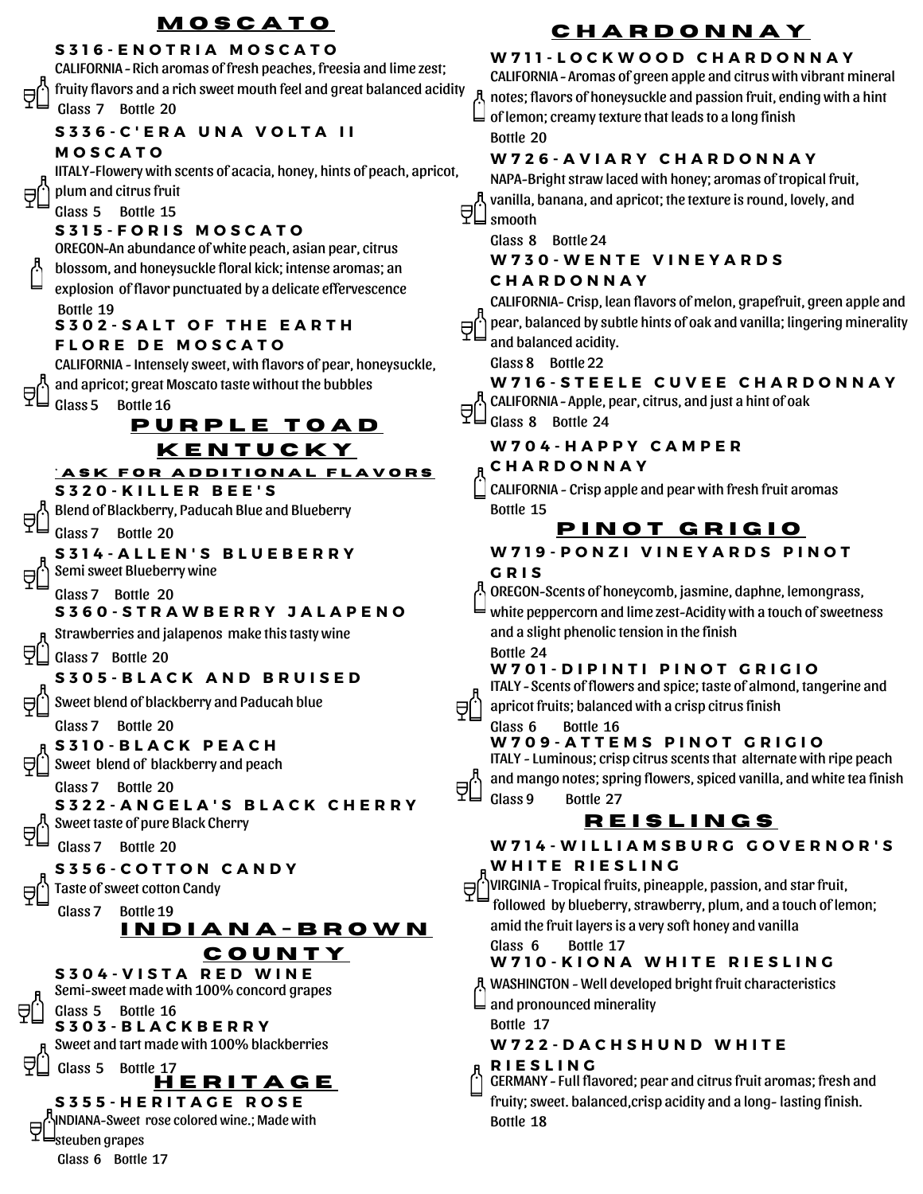# **M O S C A T O**

#### **S 3 1 6 - E N O T R I A M O S C A T O**

CALIFORNIA *-* Rich aromas of fresh peaches, freesia and lime zest; fruity flavors and a rich sweet mouth feel and great balanced acidity Glass 7 Bottle 20

#### **S 3 3 6 - C ' E R A U N A V O L T A I I**

#### **M O S C A T O**

IITALY-Flowery with scents of acacia, honey, hints of peach, apricot,

plum and citrus fruit

#### Glass 5 Bottle 15

#### **S 3 1 5 - F O R I S M O S C A T O**

OREGON*-*An abundance of white peach, asian pear, citrus blossom, and honeysuckle floral kick; intense aromas; an

explosion of flavor punctuated by a delicate effervescence Bottle 19

# **S 3 0 2 - S A L T O F T H E E A R T H**

#### **F L O R E D E M O S C A T O**

CALIFORNIA - Intensely sweet, with flavors of pear, honeysuckle,

and apricot; great Moscato taste without the bubbles

#### Glass 5 Bottle 16

# **P U R P L E T O A D K E N T U C K Y**

**S 3 2 0 - K I L L E R B E E ' S**  $^{\circ}$  **ASK FOR ADDITIONAL FLAVORS** 

Blend of Blackberry, Paducah Blue and Blueberry

#### Glass 7 Bottle 20

**S 3 1 4 - A L L E N ' S B L U E B E R R Y** Semi sweet Blueberry wine

## Glass 7 Bottle 20 **S 3 6 0 - S T R A W B E R R Y J A L A P E N O**

Strawberries and jalapenos make this tasty wine

Glass 7 Bottle 20

### **S 3 0 5 - B L A C K A N D B R U I S E D**

Sweet blend of blackberry and Paducah blue

Glass 7 Bottle 20

### **S 3 1 0 - B L A C K P E A C H**

Sweet blend of blackberry and peach

Glass 7 Bottle 20 **S 3 2 2 - A N G E L A ' S B L A C K C H E R R Y**

Sweet taste of pure Black Cherry

Glass 7 Bottle 20

### **S 3 5 6 - C O T T O N C A N D Y**

Taste of sweet cotton Candy

Glass 7 Bottle 19

### **I N D I A N A - B R O W N C O U N T Y**

**S 3 0 3 - B L A C K B E R R Y** Sweet and tart made with 100% blackberries Glass 5 Bottle 17 **S 3 0 4 - V I S T A R E D W I N E** Semi-sweet made with 100% concord grapes Glass 5 Bottle 16 **H E R I T A G E**

**S 3 5 5 - H E R I T A G E R O S E** INDIANA-Sweet rose colored wine.; Made with 日 steuben grapes Glass 6 Bottle 17

# **C H A R D O N N A Y**

#### **W 7 1 1 - L O C K W O O D C H A R D O N N A Y**

CALIFORNIA *-* Aromas of green apple and citrus with vibrant mineral notes; flavors of honeysuckle and passion fruit, ending with a hint  $\sqcup$  of lemon; creamy texture that leads to a long finish Bottle 20

#### **W 7 2 6 - A V I A R Y C H A R D O N N A Y**

NAPA-Bright straw laced with honey; aromas of tropical fruit, vanilla, banana, and apricot; the texture is round, lovely, and  $\Xi$  smooth

Glass 8 Bottle 24

#### **W 7 3 0 - W E N T E V I N E Y A R D S C H A R D O N N A Y**

CALIFORNIA- Crisp, lean flavors of melon, grapefruit, green apple and pear, balanced by subtle hints of oak and vanilla; lingering minerality Θſ and balanced acidity.

Glass 8 Bottle 22

#### **W716-STEELE CUVEE CHARDONNAY** CALIFORNIA *-* Apple, pear, citrus, and just a hint of oak

 $\overline{\Xi}$  Class 8 Bottle 24

#### **W 7 0 4 - H A P P Y C A M P E R**

#### **C H A R D O N N A Y**

CALIFORNIA - Crisp apple and pear with fresh fruit aromas Bottle 15

# **P I N O T G R I G I O**

#### **W 7 1 9 - P O N Z I V I N E Y A R D S P I N O T**

#### **G R I S**

≘l.,

₹Û

OREGON-Scents of honeycomb, jasmine, daphne, lemongrass,

white peppercorn and lime zest-Acidity with a touch of sweetness and a slight phenolic tension in the finish

#### Bottle 24 **W 7 0 1 - D I P I N T I P I N O T G R I G I O**

ITALY *-* Scents of flowers and spice; taste of almond, tangerine and apricot fruits; balanced with a crisp citrus finish

Glass 6 Bottle 16

#### **W 7 0 9 - A T T E M S P I N O T G R I G I O**

ITALY - Luminous; crisp citrus scents that alternate with ripe peach and mango notes; spring flowers, spiced vanilla, and white tea finish

Glass 9 Bottle 27

# **R E I S L I N G S**

W714-WILLIAMSBURG GOVERNOR'S

#### **W H I T E R I E S L I N G**

 $\forall$  VIRGINIA - Tropical fruits, pineapple, passion, and star fruit, followed by blueberry, strawberry, plum, and a touch of lemon; amid the fruit layers is a very soft honey and vanilla

#### Glass 6 Bottle 17 **W 7 1 0 - K I O N A W H I T E R I E S L I N G**

WASHINGTON - Well developed bright fruit characteristics

and pronounced minerality

Bottle 17

#### **W 7 2 2 - D A C H S H U N D W H I T E**

**R I E S L I N G**

GERMANY *-* Full flavored; pear and citrus fruit aromas; fresh and fruity; sweet. balanced,crisp acidity and a long- lasting finish. Bottle 18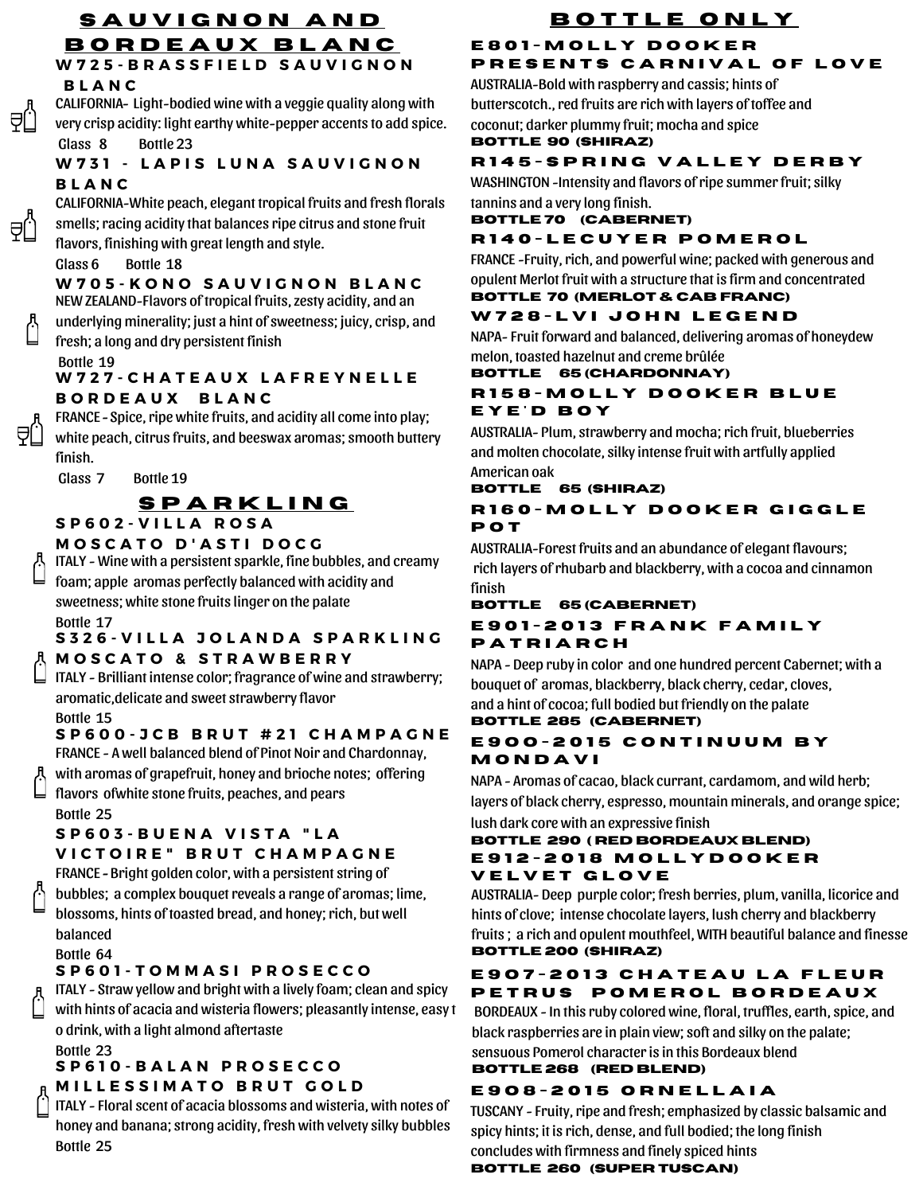### **W 7 2 5 - B R A S S F I E L D S A U V I G N O N S A U V I G N O N A N D B O R D E A U X B L A N C**

#### **B L A N C**

⊖l.

⊖ſ

CALIFORNIA*-* Light-bodied wine with a veggie quality along with very crisp acidity: light earthy white-pepper accents to add spice. Glass 8 Bottle 23

#### **W 7 3 1 - L A P I S L U N A S A U V I G N O N B L A N C**

CALIFORNIA-White peach, elegant tropical fruits and fresh florals smells; racing acidity that balances ripe citrus and stone fruit flavors, finishing with great length and style.

#### Glass 6 Bottle 18

**W 7 0 5 - K O N O S A U V I G N O N B L A N C**

NEW ZEALAND-Flavors of tropical fruits, zesty acidity, and an

underlying minerality; just a hint of sweetness; juicy, crisp, and fresh; a long and dry persistent finish

**W 7 2 7 - C H A T E A U X L A F R E Y N E L L E B O R D E A U X B L A N C** Bottle 19

FRANCE - Spice, ripe white fruits, and acidity all come into play; white peach, citrus fruits, and beeswax aromas; smooth buttery finish.

Glass 7 Bottle 19

# **S P A R K L I N G**

#### **S P 6 0 2 - V I L L A R O S A**

#### **M O S C A T O D ' A S T I D O C G**

ITALY - Wine with a persistent sparkle, fine bubbles, and creamy

foam; apple aromas perfectly balanced with acidity and sweetness; white stone fruits linger on the palate Bottle 17

#### S326-VILLA JOLANDA SPARKLING **M O S C A T O & S T R A W B E R R Y**

ITALY - Brilliant intense color; fragrance of wine and strawberry; aromatic,delicate and sweet strawberry flavor

Bottle 15

## **S P 6 0 0 - J C B B R U T # 2 1 C H A M P A G N E**

FRANCE - A well balanced blend of Pinot Noir and Chardonnay,

with aromas of grapefruit, honey and brioche notes; offering flavors ofwhite stone fruits, peaches, and pears Bottle 25

### **S P 6 0 3 - B U E N A V I S T A " L A**

#### **V I C T O I R E " B R U T C H A M P A G N E**

FRANCE *-* Bright golden color, with a persistent string of

bubbles; a complex bouquet reveals a range of aromas; lime, blossoms, hints of toasted bread, and honey; rich, but well balanced

Bottle 64

### **S P 6 0 1 - T O M M A S I P R O S E C C O**

ITALY - Straw yellow and bright with a lively foam; clean and spicy

with hints of acacia and wisteria flowers; pleasantly intense, easy t o drink, with a light almond aftertaste

Bottle 23

# **S P 6 1 0 - B A L A N P R O S E C C O**

**M I L L E S S I M A T O B R U T G O L D**

ITALY - Floral scent of acacia blossoms and wisteria, with notes of honey and banana; strong acidity, fresh with velvety silky bubbles Bottle 25

#### **B O T T L E O N L Y E 8 0 1 - M O L L Y D O O K E R PRESENTS CARNIVAL OF LOVE**

AUSTRALIA-Bold with raspberry and cassis; hints of butterscotch., red fruits are rich with layers of toffee and coconut; darker plummy fruit; mocha and spice **Bottle 90 (SHIRAZ)**

# **R 1 4 5 - S P R I N G V A L L E Y D E R B Y**

WASHINGTON -Intensity and flavors of ripe summer fruit; silky tannins and a very long finish.

### **Bottle 70 (CABERNET)**

## **R 1 4 0 - L E C U Y E R P O M E R O L**

FRANCE -Fruity, rich, and powerful wine; packed with generous and opulent Merlot fruit with a structure that is firm and concentrated

#### **BOTTLE 70 (MERLOT & CAB FRANC) W 7 2 8 - L V I J O H N L E G E N D**

NAPA- Fruit forward and balanced, delivering aromas of honeydew melon, toasted hazelnut and creme brûlée

#### **BOTTLE 65 (CHARDONNAY)**

#### **R 1 5 8 - M O L L Y D O O K E R B L U E E Y E ' D B O Y**

AUSTRALIA- Plum, strawberry and mocha; rich fruit, blueberries and molten chocolate, silky intense fruit with artfully applied American oak

#### **BOTTLE 65 (SHIRAZ) R 1 6 0 - M O L L Y D O O K E R G I G G L E**

**P O T** AUSTRALIA-Forest fruits and an abundance of elegant flavours; rich layers ofrhubarb and blackberry, with a cocoa and cinnamon finish

#### **BOTTLE 65 (CABERNET)**

#### **E 9 0 1 - 2 0 1 3 F R A N K F A M I L Y P A T R I A R C H**

NAPA - Deep ruby in color and one hundred percent Cabernet; with a bouquet of aromas, blackberry, black cherry, cedar, cloves, and a hint of cocoa; full bodied but friendly on the palate

## **Bottle 285 (CABERNET)**

#### **E 9 O O - 2 0 1 5 C O N T I N U U M B Y M O N D A V I**

NAPA - Aromas of cacao, black currant, cardamom, and wild herb; layers of black cherry, espresso, mountain minerals, and orange spice; lush dark core with an expressive finish

#### **Bottle 290 ( RED BORDEAUX BLEND) E 9 1 2 - 2 0 1 8 M O L L Y D O O K E R V E L V E T G L O V E**

AUSTRALIA- Deep purple color; fresh berries, plum, vanilla, licorice and hints of clove; intense chocolate layers, lush cherry and blackberry fruits ; a rich and opulent mouthfeel, WITH beautiful balance and finesse **Bottle 200 (SHIRAZ)**

## **E 9 O 7 - 2 0 1 3 C H A T E A U L A F L E U R**  $P$  **ETRUS POMEROL BORDEAUX**

BORDEAUX - In this ruby colored wine, floral, truffles, earth, spice, and black raspberries are in plain view; soft and silky on the palate; sensuous Pomerol characteris in this Bordeaux blend

## **Bottle 268 (RED BLEND)**

# **E 9 O 8 - 2 0 1 5 O R N E L L A I A**

TUSCANY - Fruity, ripe and fresh; emphasized by classic balsamic and spicy hints; it is rich, dense, and full bodied; the long finish concludes with firmness and finely spiced hints

## **Bottle 260 (SUPER TUSCAN)**